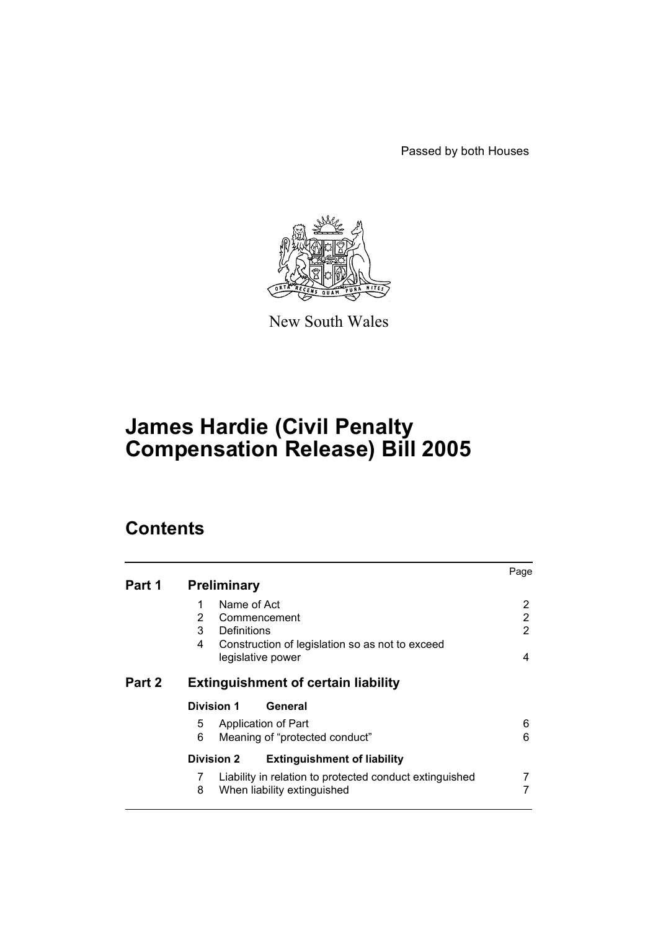Passed by both Houses



New South Wales

# **James Hardie (Civil Penalty Compensation Release) Bill 2005**

# **Contents**

|        |                                                              | Page |  |  |  |
|--------|--------------------------------------------------------------|------|--|--|--|
| Part 1 | <b>Preliminary</b>                                           |      |  |  |  |
|        | Name of Act<br>1                                             | 2    |  |  |  |
|        | 2<br>Commencement                                            | 2    |  |  |  |
|        | 3<br>Definitions                                             |      |  |  |  |
|        | 4<br>Construction of legislation so as not to exceed         |      |  |  |  |
|        | legislative power                                            | 4    |  |  |  |
| Part 2 | <b>Extinguishment of certain liability</b>                   |      |  |  |  |
|        | <b>Division 1</b><br>General                                 |      |  |  |  |
|        | Application of Part<br>5.                                    | 6    |  |  |  |
|        | 6<br>Meaning of "protected conduct"                          | 6    |  |  |  |
|        | <b>Division 2</b><br><b>Extinguishment of liability</b>      |      |  |  |  |
|        | Liability in relation to protected conduct extinguished<br>7 |      |  |  |  |
|        | 8<br>When liability extinguished                             |      |  |  |  |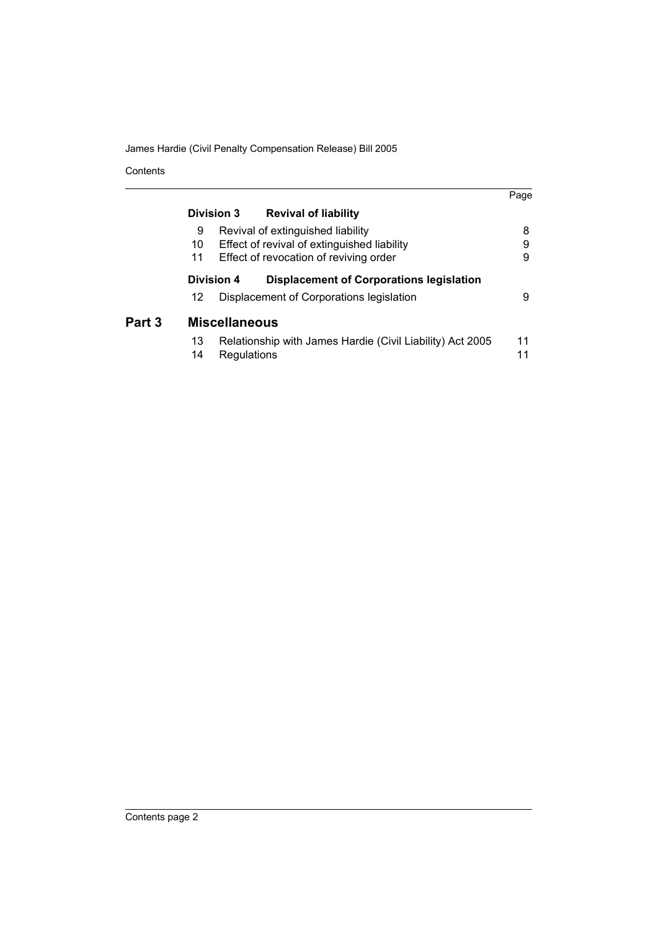James Hardie (Civil Penalty Compensation Release) Bill 2005

Contents

|        |                                                               |                                             |                                                           | Page |  |  |
|--------|---------------------------------------------------------------|---------------------------------------------|-----------------------------------------------------------|------|--|--|
|        | Division 3                                                    |                                             | <b>Revival of liability</b>                               |      |  |  |
|        | 9                                                             |                                             | Revival of extinguished liability                         | 8    |  |  |
|        | 10                                                            | Effect of revival of extinguished liability |                                                           |      |  |  |
|        | 11                                                            |                                             | Effect of revocation of reviving order                    | 9    |  |  |
|        | Division 4<br><b>Displacement of Corporations legislation</b> |                                             |                                                           |      |  |  |
|        | 12 <sup>°</sup>                                               |                                             | Displacement of Corporations legislation                  | 9    |  |  |
| Part 3 | <b>Miscellaneous</b>                                          |                                             |                                                           |      |  |  |
|        | 13                                                            |                                             | Relationship with James Hardie (Civil Liability) Act 2005 | 11   |  |  |
|        | 14                                                            | Regulations                                 |                                                           | 11   |  |  |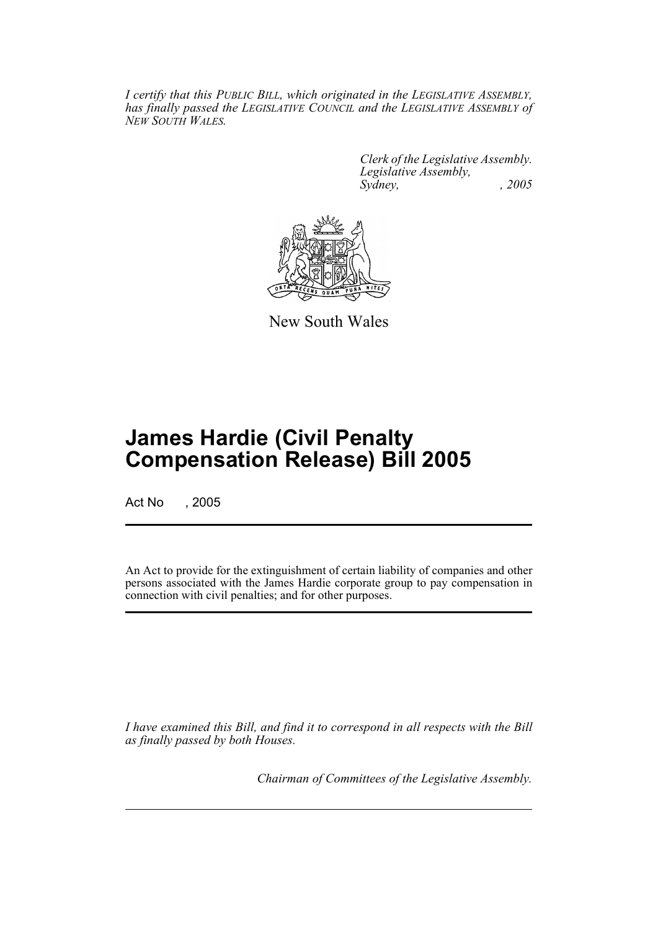*I certify that this PUBLIC BILL, which originated in the LEGISLATIVE ASSEMBLY, has finally passed the LEGISLATIVE COUNCIL and the LEGISLATIVE ASSEMBLY of NEW SOUTH WALES.*

> *Clerk of the Legislative Assembly. Legislative Assembly, Sydney, , 2005*



New South Wales

# **James Hardie (Civil Penalty Compensation Release) Bill 2005**

Act No , 2005

An Act to provide for the extinguishment of certain liability of companies and other persons associated with the James Hardie corporate group to pay compensation in connection with civil penalties; and for other purposes.

*I have examined this Bill, and find it to correspond in all respects with the Bill as finally passed by both Houses.*

*Chairman of Committees of the Legislative Assembly.*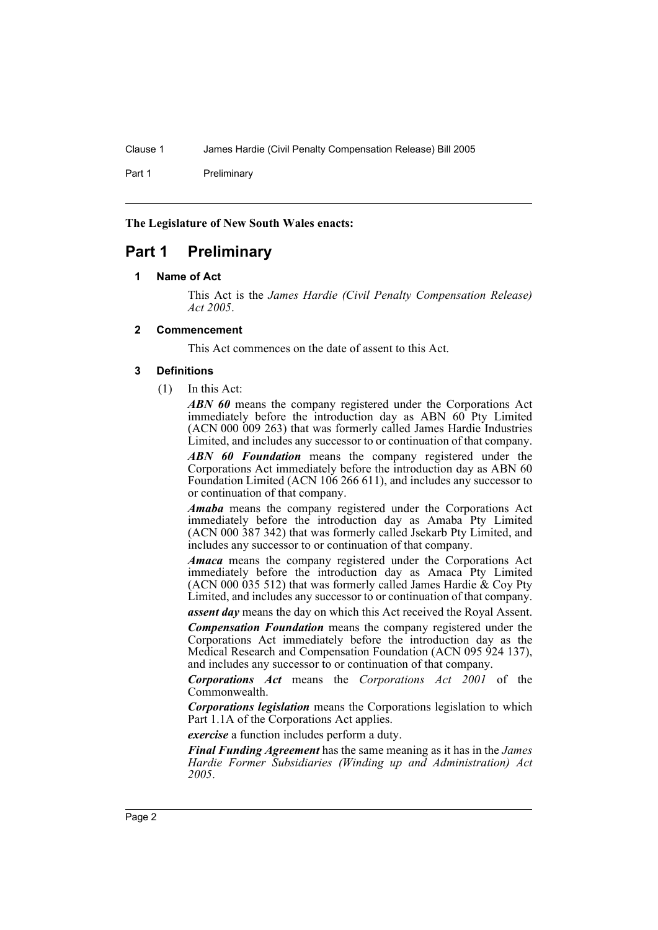Part 1 Preliminary

**The Legislature of New South Wales enacts:**

# **Part 1 Preliminary**

#### **1 Name of Act**

This Act is the *James Hardie (Civil Penalty Compensation Release) Act 2005*.

## **2 Commencement**

This Act commences on the date of assent to this Act.

#### **3 Definitions**

(1) In this Act:

*ABN 60* means the company registered under the Corporations Act immediately before the introduction day as ABN 60<sup>-</sup>Pty Limited (ACN 000 009 263) that was formerly called James Hardie Industries Limited, and includes any successor to or continuation of that company.

*ABN 60 Foundation* means the company registered under the Corporations Act immediately before the introduction day as ABN 60 Foundation Limited (ACN 106 266 611), and includes any successor to or continuation of that company.

*Amaba* means the company registered under the Corporations Act immediately before the introduction day as Amaba Pty Limited (ACN 000 387 342) that was formerly called Jsekarb Pty Limited, and includes any successor to or continuation of that company.

*Amaca* means the company registered under the Corporations Act immediately before the introduction day as Amaca Pty Limited (ACN 000 035 512) that was formerly called James Hardie  $\&$  Coy Pty Limited, and includes any successor to or continuation of that company.

*assent day* means the day on which this Act received the Royal Assent.

*Compensation Foundation* means the company registered under the Corporations Act immediately before the introduction day as the Medical Research and Compensation Foundation (ACN 095 924 137), and includes any successor to or continuation of that company.

*Corporations Act* means the *Corporations Act 2001* of the Commonwealth.

*Corporations legislation* means the Corporations legislation to which Part 1.1A of the Corporations Act applies.

*exercise* a function includes perform a duty.

*Final Funding Agreement* has the same meaning as it has in the *James Hardie Former Subsidiaries (Winding up and Administration) Act 2005*.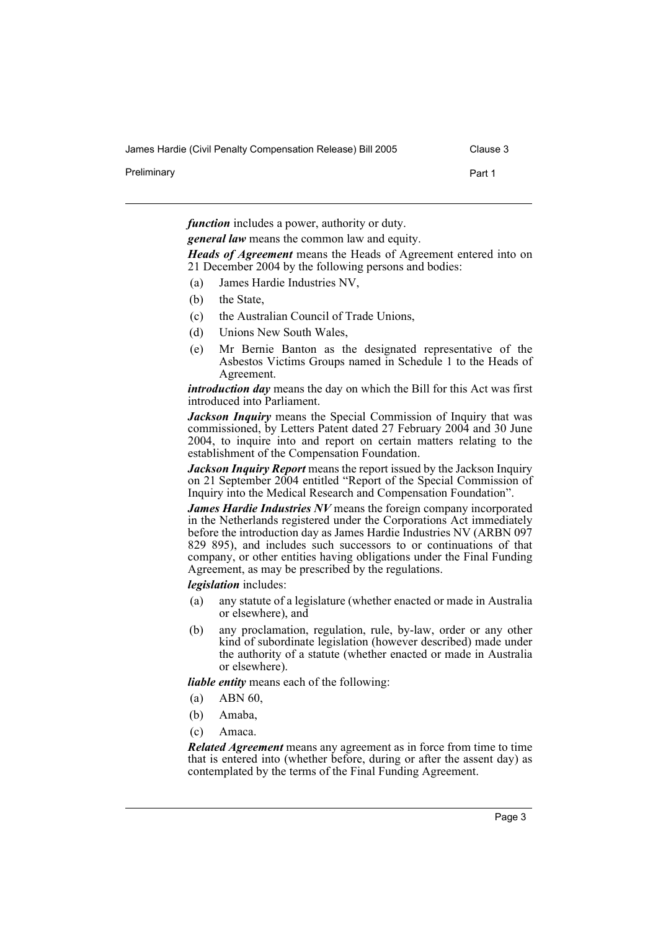James Hardie (Civil Penalty Compensation Release) Bill 2005 Clause 3

Preliminary **Preliminary Part 1** 

*function* includes a power, authority or duty.

*general law* means the common law and equity.

*Heads of Agreement* means the Heads of Agreement entered into on 21 December 2004 by the following persons and bodies:

- (a) James Hardie Industries NV,
- (b) the State,
- (c) the Australian Council of Trade Unions,
- (d) Unions New South Wales,
- (e) Mr Bernie Banton as the designated representative of the Asbestos Victims Groups named in Schedule 1 to the Heads of Agreement.

*introduction day* means the day on which the Bill for this Act was first introduced into Parliament.

*Jackson Inquiry* means the Special Commission of Inquiry that was commissioned, by Letters Patent dated 27 February 2004 and 30 June 2004, to inquire into and report on certain matters relating to the establishment of the Compensation Foundation.

*Jackson Inquiry Report* means the report issued by the Jackson Inquiry on 21 September 2004 entitled "Report of the Special Commission of Inquiry into the Medical Research and Compensation Foundation".

*James Hardie Industries NV* means the foreign company incorporated in the Netherlands registered under the Corporations Act immediately before the introduction day as James Hardie Industries NV (ARBN 097 829 895), and includes such successors to or continuations of that company, or other entities having obligations under the Final Funding Agreement, as may be prescribed by the regulations.

*legislation* includes:

- (a) any statute of a legislature (whether enacted or made in Australia or elsewhere), and
- (b) any proclamation, regulation, rule, by-law, order or any other kind of subordinate legislation (however described) made under the authority of a statute (whether enacted or made in Australia or elsewhere).

*liable entity* means each of the following:

- (a) ABN 60,
- (b) Amaba,
- (c) Amaca.

*Related Agreement* means any agreement as in force from time to time that is entered into (whether before, during or after the assent day) as contemplated by the terms of the Final Funding Agreement.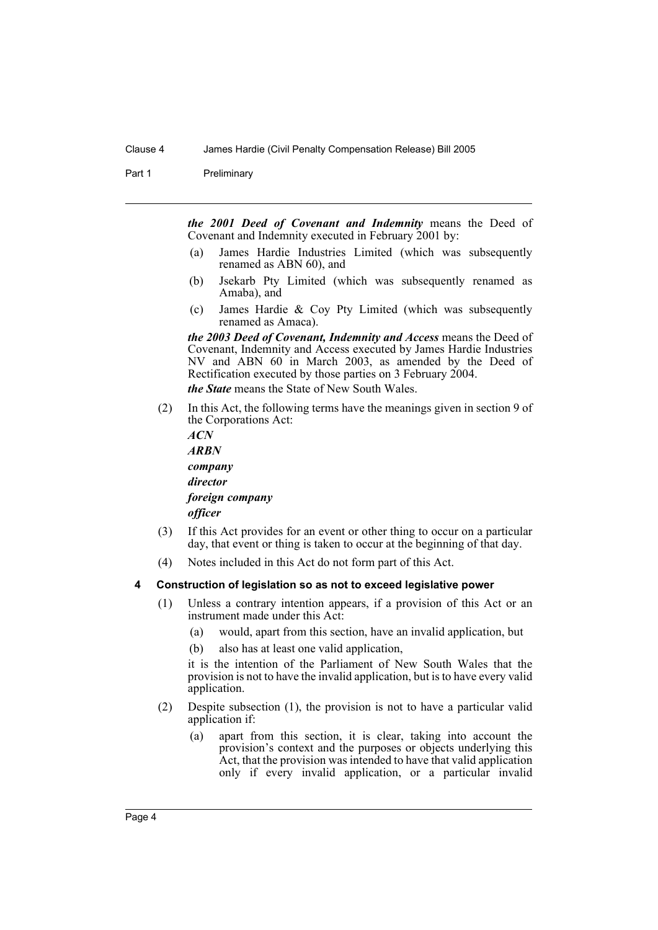Part 1 Preliminary

*the 2001 Deed of Covenant and Indemnity* means the Deed of Covenant and Indemnity executed in February 2001 by:

- (a) James Hardie Industries Limited (which was subsequently renamed as ABN 60), and
- (b) Jsekarb Pty Limited (which was subsequently renamed as Amaba), and
- (c) James Hardie & Coy Pty Limited (which was subsequently renamed as Amaca).

*the 2003 Deed of Covenant, Indemnity and Access* means the Deed of Covenant, Indemnity and Access executed by James Hardie Industries NV and ABN 60 in March 2003, as amended by the Deed of Rectification executed by those parties on 3 February 2004.

*the State* means the State of New South Wales.

(2) In this Act, the following terms have the meanings given in section 9 of the Corporations Act:

*ACN ARBN company director foreign company officer*

- (3) If this Act provides for an event or other thing to occur on a particular day, that event or thing is taken to occur at the beginning of that day.
- (4) Notes included in this Act do not form part of this Act.

#### **4 Construction of legislation so as not to exceed legislative power**

- (1) Unless a contrary intention appears, if a provision of this Act or an instrument made under this Act:
	- (a) would, apart from this section, have an invalid application, but
	- (b) also has at least one valid application,

it is the intention of the Parliament of New South Wales that the provision is not to have the invalid application, but is to have every valid application.

- (2) Despite subsection (1), the provision is not to have a particular valid application if:
	- (a) apart from this section, it is clear, taking into account the provision's context and the purposes or objects underlying this Act, that the provision was intended to have that valid application only if every invalid application, or a particular invalid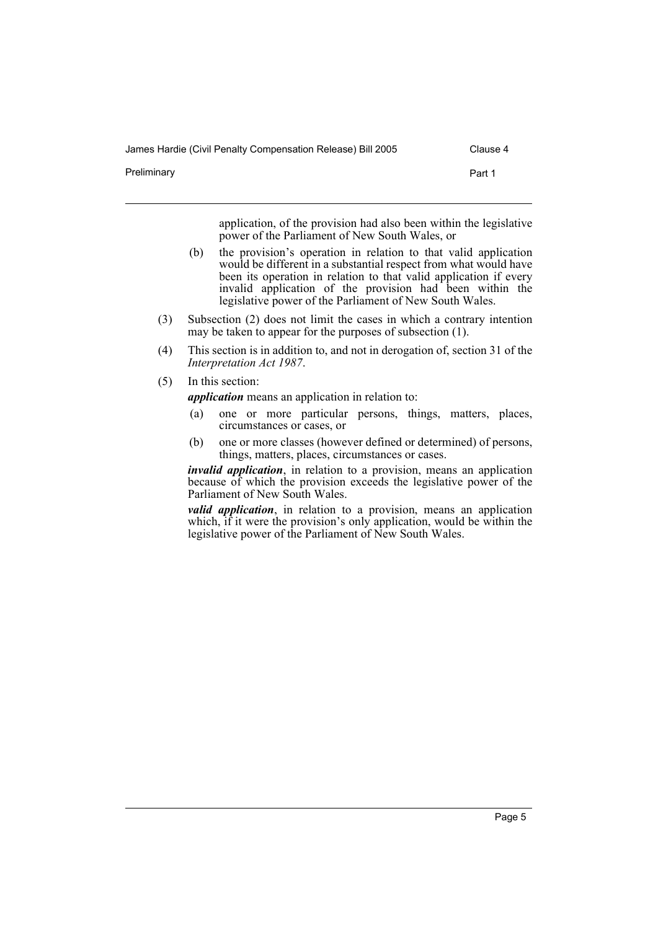James Hardie (Civil Penalty Compensation Release) Bill 2005 Clause 4

Preliminary **Preliminary** Part 1

application, of the provision had also been within the legislative power of the Parliament of New South Wales, or

- (b) the provision's operation in relation to that valid application would be different in a substantial respect from what would have been its operation in relation to that valid application if every invalid application of the provision had been within the legislative power of the Parliament of New South Wales.
- (3) Subsection (2) does not limit the cases in which a contrary intention may be taken to appear for the purposes of subsection (1).
- (4) This section is in addition to, and not in derogation of, section 31 of the *Interpretation Act 1987*.
- (5) In this section:

*application* means an application in relation to:

- (a) one or more particular persons, things, matters, places, circumstances or cases, or
- (b) one or more classes (however defined or determined) of persons, things, matters, places, circumstances or cases.

*invalid application*, in relation to a provision, means an application because of which the provision exceeds the legislative power of the Parliament of New South Wales.

*valid application*, in relation to a provision, means an application which, if it were the provision's only application, would be within the legislative power of the Parliament of New South Wales.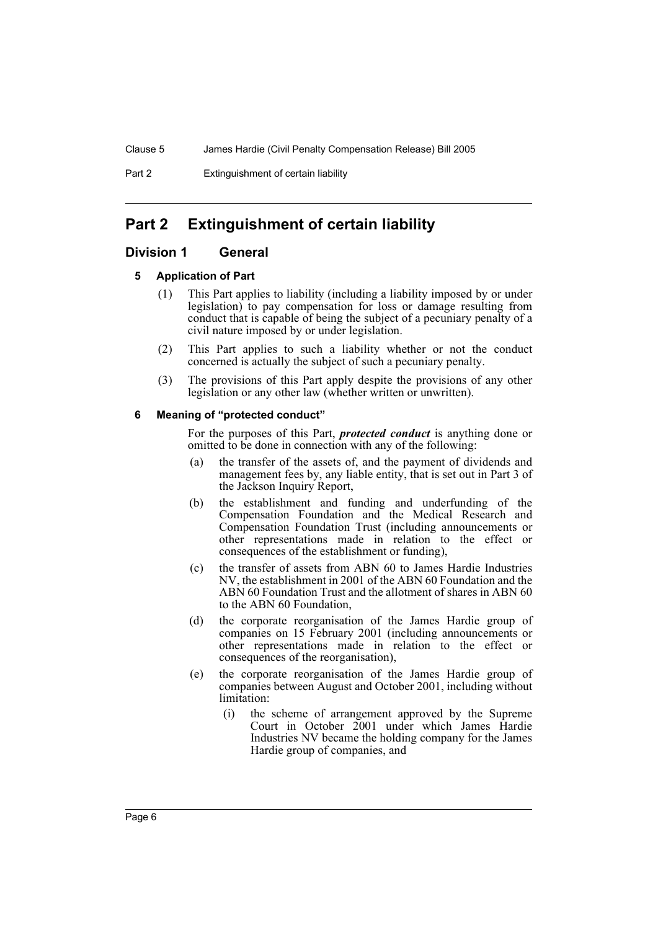# **Part 2 Extinguishment of certain liability**

# **Division 1 General**

# **5 Application of Part**

- (1) This Part applies to liability (including a liability imposed by or under legislation) to pay compensation for loss or damage resulting from conduct that is capable of being the subject of a pecuniary penalty of a civil nature imposed by or under legislation.
- (2) This Part applies to such a liability whether or not the conduct concerned is actually the subject of such a pecuniary penalty.
- (3) The provisions of this Part apply despite the provisions of any other legislation or any other law (whether written or unwritten).

# **6 Meaning of "protected conduct"**

For the purposes of this Part, *protected conduct* is anything done or omitted to be done in connection with any of the following:

- (a) the transfer of the assets of, and the payment of dividends and management fees by, any liable entity, that is set out in Part 3 of the Jackson Inquiry Report,
- (b) the establishment and funding and underfunding of the Compensation Foundation and the Medical Research and Compensation Foundation Trust (including announcements or other representations made in relation to the effect or consequences of the establishment or funding),
- (c) the transfer of assets from ABN 60 to James Hardie Industries NV, the establishment in 2001 of the ABN 60 Foundation and the ABN 60 Foundation Trust and the allotment of shares in ABN 60 to the ABN 60 Foundation,
- (d) the corporate reorganisation of the James Hardie group of companies on 15 February 2001 (including announcements or other representations made in relation to the effect or consequences of the reorganisation),
- (e) the corporate reorganisation of the James Hardie group of companies between August and October 2001, including without limitation:
	- (i) the scheme of arrangement approved by the Supreme Court in October 2001 under which James Hardie Industries NV became the holding company for the James Hardie group of companies, and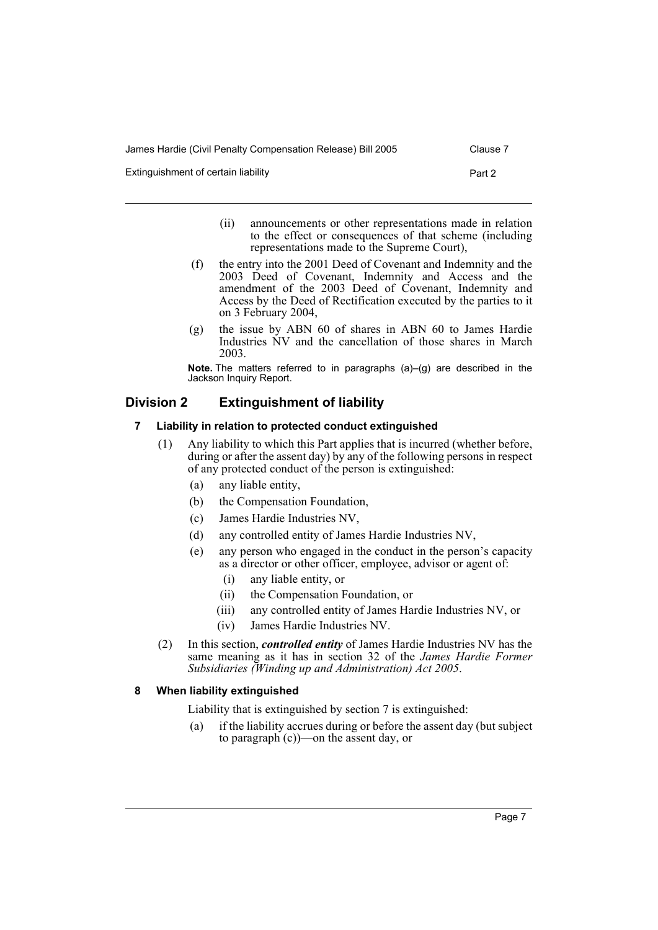Extinguishment of certain liability extends the extinguishment of certain liability

- (ii) announcements or other representations made in relation to the effect or consequences of that scheme (including representations made to the Supreme Court),
- (f) the entry into the 2001 Deed of Covenant and Indemnity and the 2003 Deed of Covenant, Indemnity and Access and the amendment of the 2003 Deed of Covenant, Indemnity and Access by the Deed of Rectification executed by the parties to it on 3 February 2004,
- (g) the issue by ABN 60 of shares in ABN 60 to James Hardie Industries NV and the cancellation of those shares in March 2003.

**Note.** The matters referred to in paragraphs (a)–(g) are described in the Jackson Inquiry Report.

# **Division 2 Extinguishment of liability**

# **7 Liability in relation to protected conduct extinguished**

- (1) Any liability to which this Part applies that is incurred (whether before, during or after the assent day) by any of the following persons in respect of any protected conduct of the person is extinguished:
	- (a) any liable entity,
	- (b) the Compensation Foundation,
	- (c) James Hardie Industries NV,
	- (d) any controlled entity of James Hardie Industries NV,
	- (e) any person who engaged in the conduct in the person's capacity as a director or other officer, employee, advisor or agent of:
		- (i) any liable entity, or
		- (ii) the Compensation Foundation, or
		- (iii) any controlled entity of James Hardie Industries NV, or
		- (iv) James Hardie Industries NV.
- (2) In this section, *controlled entity* of James Hardie Industries NV has the same meaning as it has in section 32 of the *James Hardie Former Subsidiaries (Winding up and Administration) Act 2005*.

### **8 When liability extinguished**

Liability that is extinguished by section 7 is extinguished:

(a) if the liability accrues during or before the assent day (but subject to paragraph (c))—on the assent day, or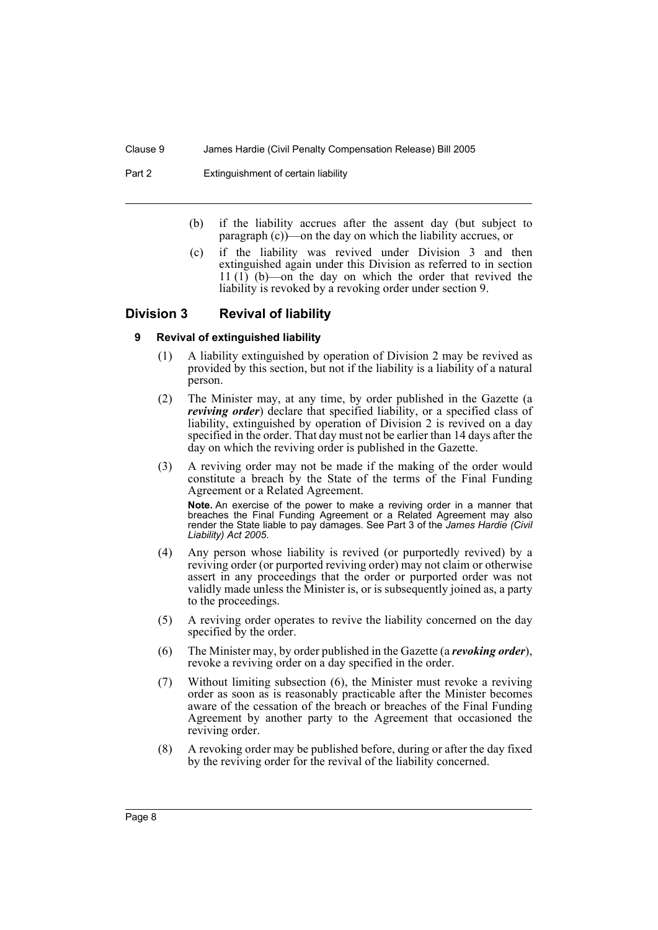Part 2 Extinguishment of certain liability

- (b) if the liability accrues after the assent day (but subject to paragraph (c))—on the day on which the liability accrues, or
- (c) if the liability was revived under Division 3 and then extinguished again under this Division as referred to in section 11 (1) (b)—on the day on which the order that revived the liability is revoked by a revoking order under section 9.

# **Division 3 Revival of liability**

### **9 Revival of extinguished liability**

- (1) A liability extinguished by operation of Division 2 may be revived as provided by this section, but not if the liability is a liability of a natural person.
- (2) The Minister may, at any time, by order published in the Gazette (a *reviving order*) declare that specified liability, or a specified class of liability, extinguished by operation of Division 2 is revived on a day specified in the order. That day must not be earlier than 14 days after the day on which the reviving order is published in the Gazette.
- (3) A reviving order may not be made if the making of the order would constitute a breach by the State of the terms of the Final Funding Agreement or a Related Agreement.

**Note.** An exercise of the power to make a reviving order in a manner that breaches the Final Funding Agreement or a Related Agreement may also render the State liable to pay damages. See Part 3 of the *James Hardie (Civil Liability) Act 2005*.

- (4) Any person whose liability is revived (or purportedly revived) by a reviving order (or purported reviving order) may not claim or otherwise assert in any proceedings that the order or purported order was not validly made unless the Minister is, or is subsequently joined as, a party to the proceedings.
- (5) A reviving order operates to revive the liability concerned on the day specified by the order.
- (6) The Minister may, by order published in the Gazette (a *revoking order*), revoke a reviving order on a day specified in the order.
- (7) Without limiting subsection (6), the Minister must revoke a reviving order as soon as is reasonably practicable after the Minister becomes aware of the cessation of the breach or breaches of the Final Funding Agreement by another party to the Agreement that occasioned the reviving order.
- (8) A revoking order may be published before, during or after the day fixed by the reviving order for the revival of the liability concerned.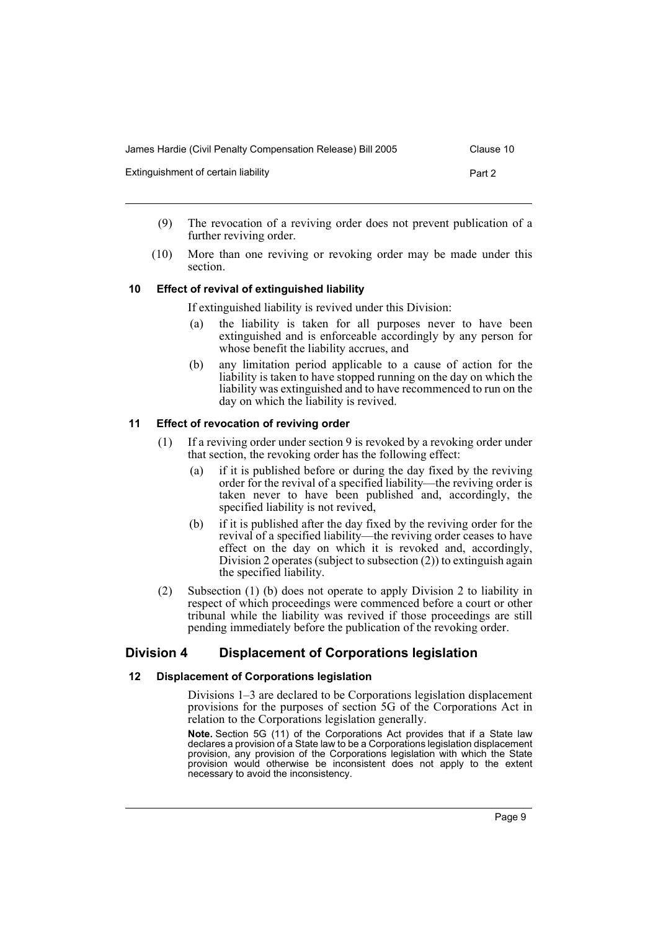| James Hardie (Civil Penalty Compensation Release) Bill 2005 | Clause 10 |
|-------------------------------------------------------------|-----------|
| Extinguishment of certain liability                         | Part 2    |

- (9) The revocation of a reviving order does not prevent publication of a further reviving order.
- (10) More than one reviving or revoking order may be made under this section.

# **10 Effect of revival of extinguished liability**

If extinguished liability is revived under this Division:

- (a) the liability is taken for all purposes never to have been extinguished and is enforceable accordingly by any person for whose benefit the liability accrues, and
- (b) any limitation period applicable to a cause of action for the liability is taken to have stopped running on the day on which the liability was extinguished and to have recommenced to run on the day on which the liability is revived.

# **11 Effect of revocation of reviving order**

- (1) If a reviving order under section 9 is revoked by a revoking order under that section, the revoking order has the following effect:
	- (a) if it is published before or during the day fixed by the reviving order for the revival of a specified liability—the reviving order is taken never to have been published and, accordingly, the specified liability is not revived,
	- (b) if it is published after the day fixed by the reviving order for the revival of a specified liability—the reviving order ceases to have effect on the day on which it is revoked and, accordingly, Division 2 operates (subject to subsection (2)) to extinguish again the specified liability.
- (2) Subsection (1) (b) does not operate to apply Division 2 to liability in respect of which proceedings were commenced before a court or other tribunal while the liability was revived if those proceedings are still pending immediately before the publication of the revoking order.

# **Division 4 Displacement of Corporations legislation**

# **12 Displacement of Corporations legislation**

Divisions 1–3 are declared to be Corporations legislation displacement provisions for the purposes of section 5G of the Corporations Act in relation to the Corporations legislation generally.

**Note.** Section 5G (11) of the Corporations Act provides that if a State law declares a provision of a State law to be a Corporations legislation displacement provision, any provision of the Corporations legislation with which the State provision would otherwise be inconsistent does not apply to the extent necessary to avoid the inconsistency.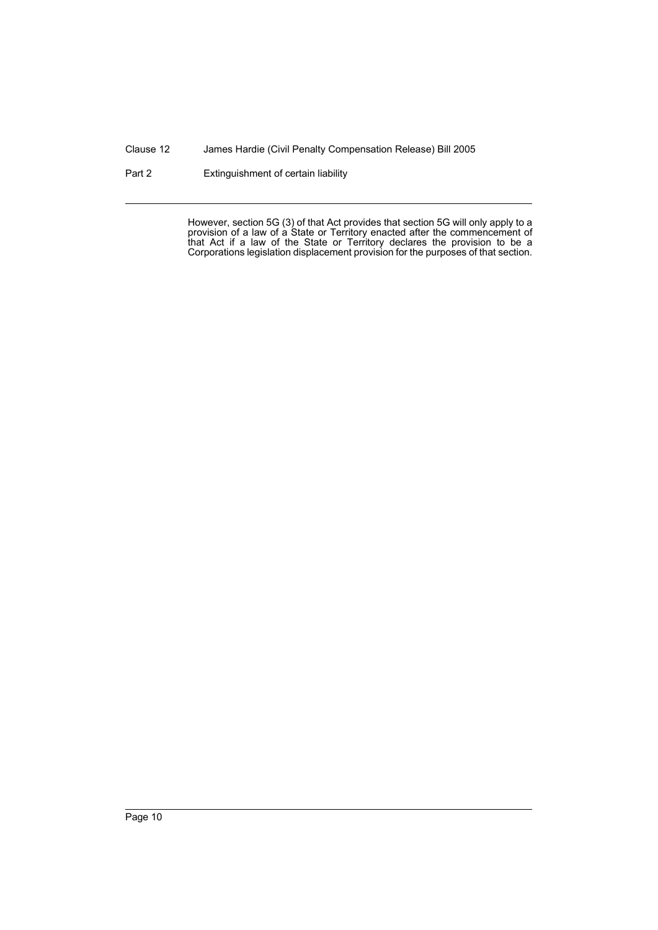Clause 12 James Hardie (Civil Penalty Compensation Release) Bill 2005

Part 2 Extinguishment of certain liability

However, section 5G (3) of that Act provides that section 5G will only apply to a provision of a law of a State or Territory enacted after the commencement of that Act if a law of the State or Territory declares the provision to be a Corporations legislation displacement provision for the purposes of that section.